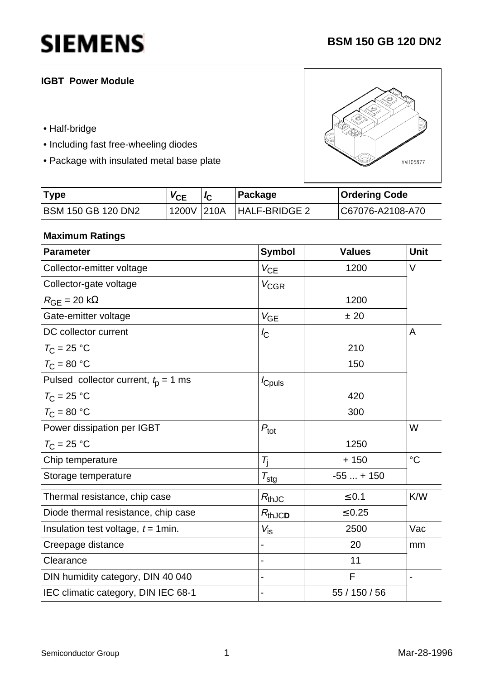## **IGBT Power Module**

- Half-bridge
- Including fast free-wheeling diodes
- Package with insulated metal base plate



| <b>Type</b>        | $V_{CE}$ | ∣Package | <b>Ordering Code</b> |
|--------------------|----------|----------|----------------------|
| BSM 150 GB 120 DN2 |          |          | C67076-A2108-A70     |

### **Maximum Ratings**

| <b>Parameter</b>                         | <b>Symbol</b>    | <b>Values</b> | <b>Unit</b>     |
|------------------------------------------|------------------|---------------|-----------------|
| Collector-emitter voltage                | $V_{CE}$         | 1200          | V               |
| Collector-gate voltage                   | $V_{\text{CGR}}$ |               |                 |
| $R_{\text{GE}}$ = 20 k $\Omega$          |                  | 1200          |                 |
| Gate-emitter voltage                     | $V_{GE}$         | ± 20          |                 |
| DC collector current                     | $I_{\rm C}$      |               | A               |
| $T_{\rm C}$ = 25 °C                      |                  | 210           |                 |
| $T_{\rm C}$ = 80 °C                      |                  | 150           |                 |
| Pulsed collector current, $t_{p} = 1$ ms | <i>c</i> puls    |               |                 |
| $T_{\rm C}$ = 25 °C                      |                  | 420           |                 |
| $T_{\rm C}$ = 80 °C                      |                  | 300           |                 |
| Power dissipation per IGBT               | $P_{\text{tot}}$ |               | W               |
| $T_{\rm C}$ = 25 °C                      |                  | 1250          |                 |
| Chip temperature                         | $T_{\rm i}$      | $+150$        | $\rm ^{\circ}C$ |
| Storage temperature                      | $T_{\text{stg}}$ | $-55 + 150$   |                 |
| Thermal resistance, chip case            | $R_{thJC}$       | $\leq 0.1$    | K/W             |
| Diode thermal resistance, chip case      | $R_{thJCD}$      | $\leq 0.25$   |                 |
| Insulation test voltage, $t = 1$ min.    | $V_{\text{is}}$  | 2500          | Vac             |
| Creepage distance                        |                  | 20            | mm              |
| Clearance                                |                  | 11            |                 |
| DIN humidity category, DIN 40 040        |                  | F             |                 |
| IEC climatic category, DIN IEC 68-1      |                  | 55 / 150 / 56 |                 |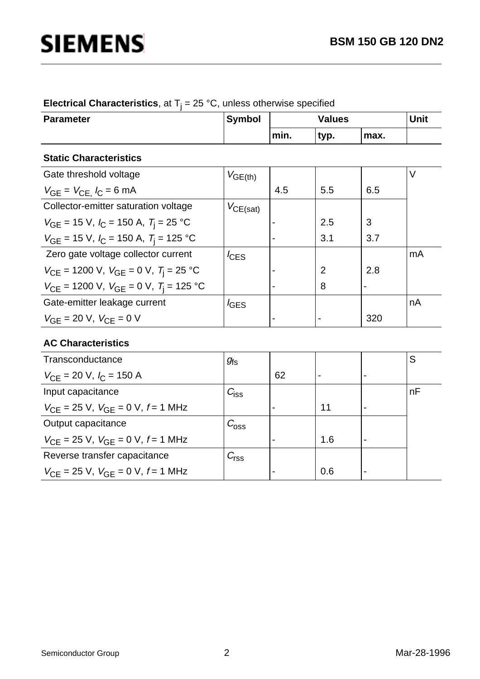nA

# **SIEMENS**

 $V_{CE}$  = 1200 V,  $V_{GE}$  = 0 V,  $T_{j}$  = 25 °C

 $V_{\text{CE}}$  = 1200 V,  $V_{\text{GE}}$  = 0 V,  $T_{\text{j}}$  = 125 °C

Gate-emitter leakage current

 $V_{GE}$  = 20 V,  $V_{CE}$  = 0 V

| <b>Parameter</b>                               | <b>Symbol</b>    | <b>Values</b> |      |      | Unit |
|------------------------------------------------|------------------|---------------|------|------|------|
|                                                |                  | min.          | typ. | max. |      |
| <b>Static Characteristics</b>                  |                  |               |      |      |      |
| Gate threshold voltage                         | $V_{GE(th)}$     |               |      |      |      |
| $V_{GE} = V_{CE}$ , $I_C = 6$ mA               |                  | 4.5           | 5.5  | 6.5  |      |
| Collector-emitter saturation voltage           | $V_{CE(sat)}$    |               |      |      |      |
| $V_{GE}$ = 15 V, $I_C$ = 150 A, $T_i$ = 25 °C  |                  |               | 2.5  | 3    |      |
| $V_{GE}$ = 15 V, $I_C$ = 150 A, $T_i$ = 125 °C |                  |               | 3.1  | 3.7  |      |
| Zero gate voltage collector current            | $I_{\text{CES}}$ |               |      |      | mA   |

### **Electrical Characteristics**, at  $T_j = 25$  °C, unless otherwise specified

| <b>AC Characteristics</b>                                  |                  |    |     |                          |    |
|------------------------------------------------------------|------------------|----|-----|--------------------------|----|
| Transconductance                                           | $g_{\rm fs}$     |    |     |                          | S  |
| $V_{\text{CF}}$ = 20 V, $I_{\text{C}}$ = 150 A             |                  | 62 |     | $\blacksquare$           |    |
| Input capacitance                                          | $C_{\text{iss}}$ |    |     |                          | nF |
| $V_{\text{CE}}$ = 25 V, $V_{\text{GE}}$ = 0 V, $f$ = 1 MHz |                  |    | 11  | $\overline{\phantom{0}}$ |    |
| Output capacitance                                         | $C_{\rm 0SS}$    |    |     |                          |    |
| $V_{\text{CE}}$ = 25 V, $V_{\text{GE}}$ = 0 V, $f$ = 1 MHz |                  |    | 1.6 | $\overline{\phantom{a}}$ |    |
| Reverse transfer capacitance                               | $C_{\text{rss}}$ |    |     |                          |    |
| $V_{\text{CF}}$ = 25 V, $V_{\text{GF}}$ = 0 V, f = 1 MHz   |                  |    | 0.6 | $\blacksquare$           |    |
|                                                            |                  |    |     |                          |    |

 $I_{\text{GES}}$ 

- -  8 2

-

2.8

320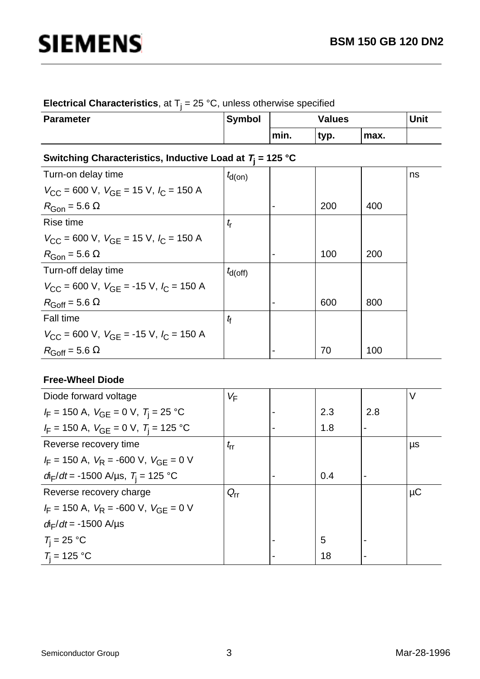### **Electrical Characteristics**, at  $T_j = 25$  °C, unless otherwise specified

| <b>Parameter</b> | <b>Symbol</b> | <b>Values</b> |      |      | Unit |
|------------------|---------------|---------------|------|------|------|
|                  |               | min.          | typ. | max. |      |

## **Switching Characteristics, Inductive Load at T<sup>j</sup> = 125 °C**

| $t_{d(0n)}$  |     |     | ns |
|--------------|-----|-----|----|
|              |     |     |    |
|              | 200 | 400 |    |
| $t_{\rm r}$  |     |     |    |
|              |     |     |    |
|              | 100 | 200 |    |
| $t_{d(Off)}$ |     |     |    |
|              |     |     |    |
|              | 600 | 800 |    |
| $t_{\rm f}$  |     |     |    |
|              |     |     |    |
|              | 70  | 100 |    |
|              |     |     |    |

### **Free-Wheel Diode**

| Diode forward voltage                                   | $V_{\mathsf{F}}$ |     |     | $\vee$  |
|---------------------------------------------------------|------------------|-----|-----|---------|
| $I_F$ = 150 A, $V_{GE}$ = 0 V, $T_i$ = 25 °C            |                  | 2.3 | 2.8 |         |
| $I_F$ = 150 A, $V_{GE}$ = 0 V, $T_i$ = 125 °C           |                  | 1.8 |     |         |
| Reverse recovery time                                   | $t_{\rm rr}$     |     |     | μs      |
| $I_F$ = 150 A, $V_R$ = -600 V, $V_{GF}$ = 0 V           |                  |     |     |         |
| $d_{\text{F}}/dt$ = -1500 A/µs, $T_{\text{i}}$ = 125 °C |                  | 0.4 |     |         |
| Reverse recovery charge                                 | $Q_{rr}$         |     |     | $\mu$ C |
| $I_F = 150$ A, $V_R = -600$ V, $V_{GF} = 0$ V           |                  |     |     |         |
| $d_{\text{F}}/dt = -1500 \text{ A/}\mu\text{s}$         |                  |     |     |         |
| $T_i = 25 °C$                                           |                  | 5   |     |         |
| $T_i = 125 °C$                                          |                  | 18  |     |         |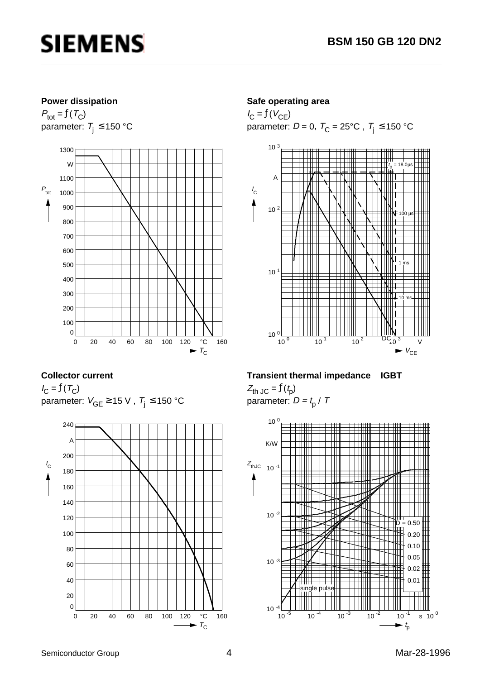

#### **Power dissipation**

 $P_{\text{tot}} = f(T_C)$ parameter:  $T_i \le 150$  °C



#### **Collector current**

 $I_{\rm C} = f(T_{\rm C})$ parameter:  $V_{GE} \ge 15$  V,  $T_i \le 150$  °C



#### **Safe operating area**

 $I_{\rm C} = f(V_{\rm CE})$ parameter:  $D = 0$ ,  $T_C = 25^{\circ}$ C,  $T_j \le 150^{\circ}$ C



#### **Transient thermal impedance IGBT**

 $Z_{\text{th JC}} = f(t_{\text{p}})$ parameter:  $D = t_0 / T$ 

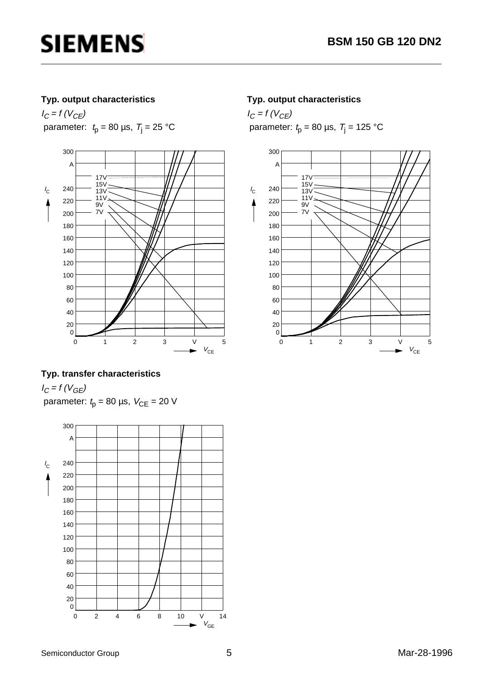### **Typ. output characteristics**

 $I_C = f (V_{CE})$ parameter:  $t_p = 80 \text{ }\mu\text{s}, \ T_j = 25 \text{ }^{\circ}\text{C}$ 



### **Typ. transfer characteristics**

 $I_C = f (V_{GE})$ parameter:  $t_p = 80 \text{ }\mu\text{s}, V_{CE} = 20 \text{ V}$ 



#### **Typ. output characteristics**

 $I_C = f (V_{CE})$ parameter:  $t_p = 80 \text{ }\mu\text{s}, \ T_j = 125 \text{ }^{\circ}\text{C}$ 

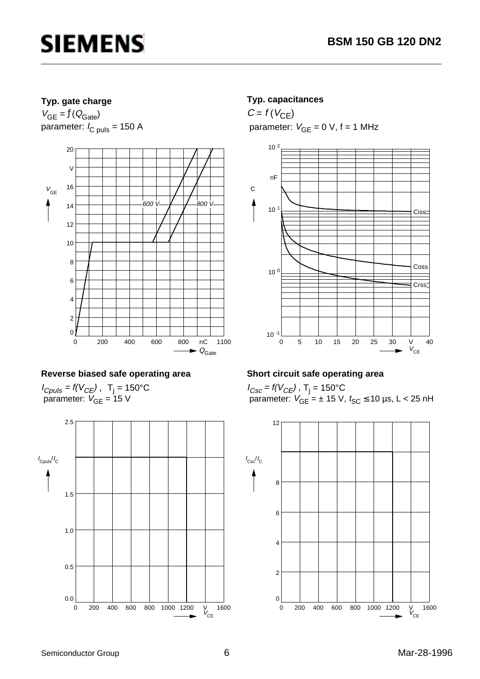### **Typ. gate charge**

 $V_{GE} = f(Q_{Gate})$ parameter:  $I_{C \text{ puls}} = 150 \text{ A}$ 



### **Reverse biased safe operating area**

 $I_{Cpuls}$  = f(V<sub>CE</sub>), T<sub>j</sub> = 150°C parameter:  $V_{GE}$  = 15 V



### **Typ. capacitances**

 $C = f(V_{CE})$ parameter:  $V_{GE} = 0$  V,  $f = 1$  MHz



### **Short circuit safe operating area**

 $I_{Csc}$  = f(V $_{CE}$ ) , T<sub>j</sub> = 150°C parameter:  $V_{GE}$  =  $\pm$  15 V,  $t_{SC}$   $\leq$  10 µs, L < 25 nH

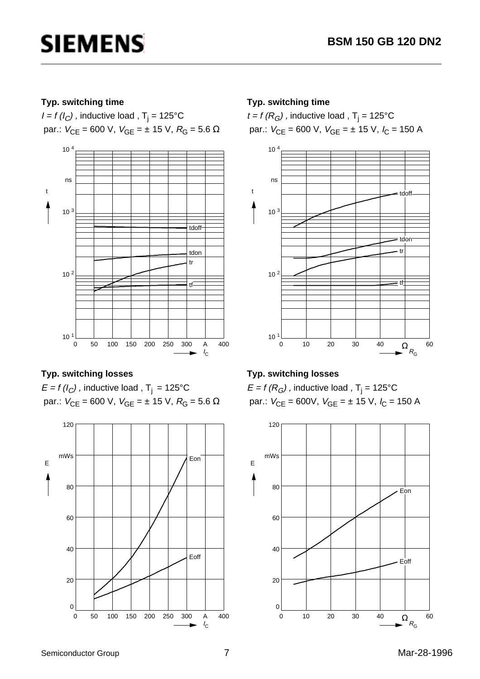### **Typ. switching time**

*I = f (I<sub>C</sub>)* , inductive load , T<sub>j</sub> = 125°C par.:  $V_{CE}$  = 600 V,  $V_{GE}$  = ± 15 V,  $R_G$  = 5.6 Ω



### **Typ. switching losses**

 $E = f(l_C)$ , inductive load, T<sub>j</sub> = 125°C par.:  $V_{CE} = 600$  V,  $V_{GE} = ± 15$  V,  $R_G = 5.6$  Ω



### **Typ. switching time**

 $t$  = f (R<sub>G</sub>) , inductive load , T<sub>j</sub> = 125°C par.:  $V_{CE}$  = 600 V,  $V_{GE}$  = ± 15 V,  $I_C$  = 150 A



## **Typ. switching losses**

 $\mathsf{E}$  = f (R $_{G}$ ) , inductive load , T $_{\mathsf{j}}$  = 125°C par.:  $V_{CE} = 600V$ ,  $V_{GE} = \pm 15 V$ ,  $I_C = 150 A$ 

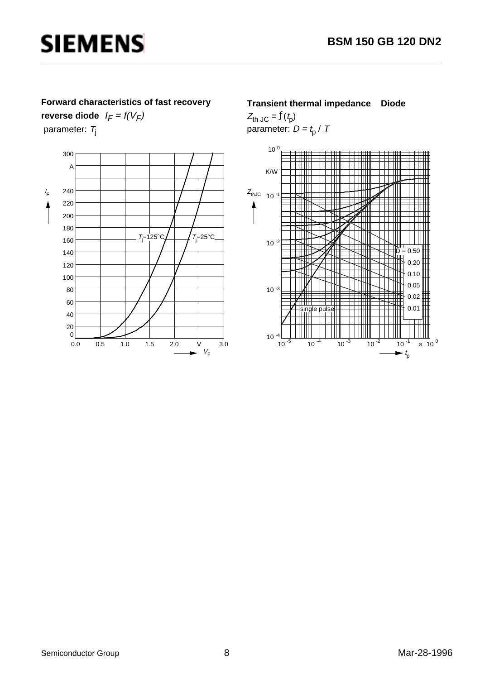#### **Forward characteristics of fast recovery**

**reverse diode**  $I_F = f(V_F)$ parameter:  $T_j$ 



#### **Transient thermal impedance Diode**

 $Z_{\text{th JC}} = f(t_{\text{p}})$ parameter:  $D = t_{\rm p}$  / T